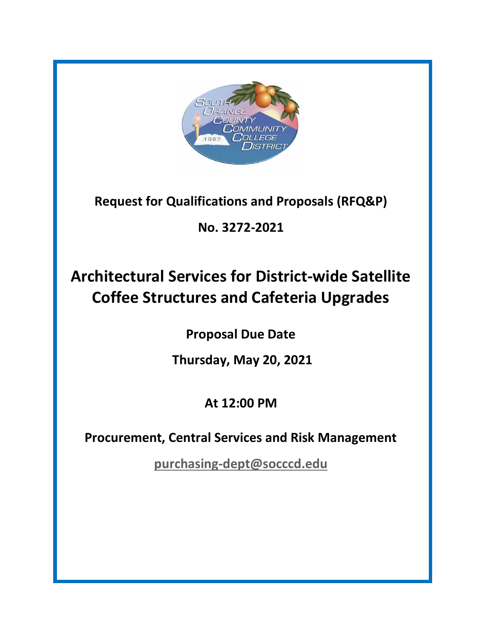

**Request for Qualifications and Proposals (RFQ&P)**

**No. 3272-2021**

# **Architectural Services for District-wide Satellite Coffee Structures and Cafeteria Upgrades**

**Proposal Due Date**

**Thursday, May 20, 2021**

**At 12:00 PM**

**Procurement, Central Services and Risk Management**

**[purchasing-dept@socccd.edu](mailto:purchasing-dept@socccd.edu)**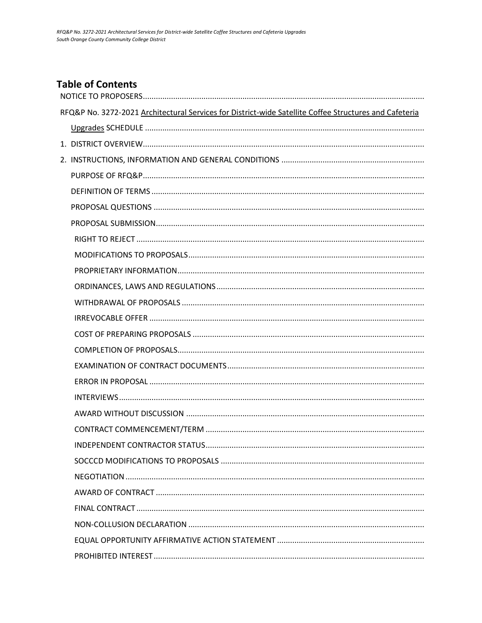# **Table of Contents**

| RFQ&P No. 3272-2021 Architectural Services for District-wide Satellite Coffee Structures and Cafeteria |
|--------------------------------------------------------------------------------------------------------|
|                                                                                                        |
|                                                                                                        |
|                                                                                                        |
|                                                                                                        |
|                                                                                                        |
|                                                                                                        |
|                                                                                                        |
|                                                                                                        |
|                                                                                                        |
|                                                                                                        |
|                                                                                                        |
|                                                                                                        |
|                                                                                                        |
|                                                                                                        |
|                                                                                                        |
|                                                                                                        |
|                                                                                                        |
|                                                                                                        |
|                                                                                                        |
|                                                                                                        |
|                                                                                                        |
|                                                                                                        |
|                                                                                                        |
|                                                                                                        |
|                                                                                                        |
|                                                                                                        |
|                                                                                                        |
|                                                                                                        |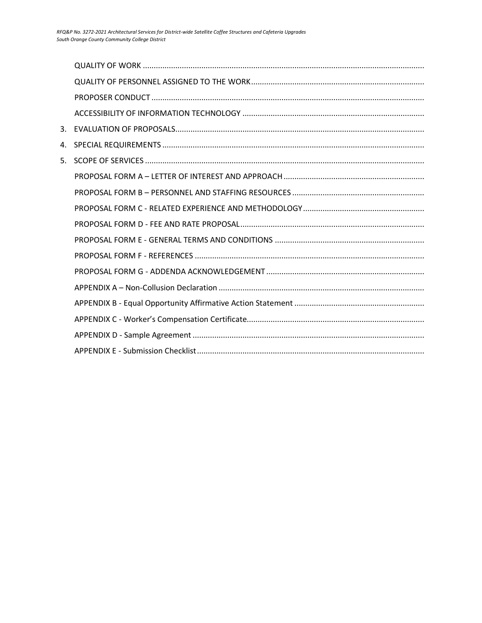| 3. |  |
|----|--|
| 4. |  |
| 5. |  |
|    |  |
|    |  |
|    |  |
|    |  |
|    |  |
|    |  |
|    |  |
|    |  |
|    |  |
|    |  |
|    |  |
|    |  |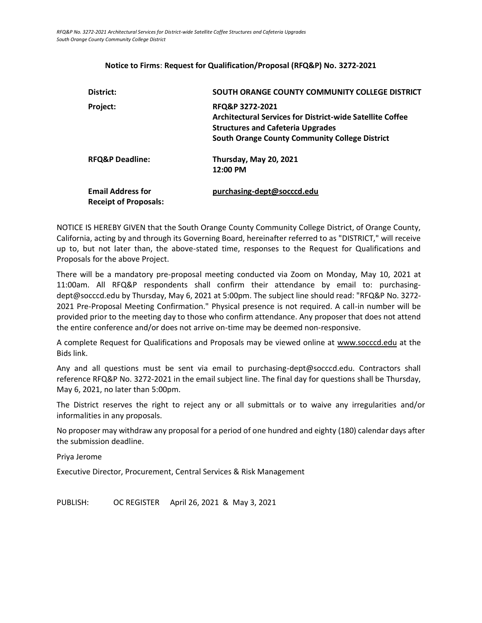# <span id="page-3-0"></span>**District: SOUTH ORANGE COUNTY COMMUNITY COLLEGE DISTRICT Project: RFQ&P 3272-2021 Architectural Services for District-wide Satellite Coffee Structures and Cafeteria Upgrades South Orange County Community College District RFQ&P Deadline: Thursday, May 20, 2021 12:00 PM Email Address for Receipt of Proposals: [purchasing-dept@socccd.edu](mailto:purchasing-dept@socccd.edu)**

#### **Notice to Firms**: **Request for Qualification/Proposal (RFQ&P) No. 3272-2021**

NOTICE IS HEREBY GIVEN that the South Orange County Community College District, of Orange County, California, acting by and through its Governing Board, hereinafter referred to as "DISTRICT," will receive up to, but not later than, the above-stated time, responses to the Request for Qualifications and Proposals for the above Project.

There will be a mandatory pre-proposal meeting conducted via Zoom on Monday, May 10, 2021 at 11:00am. All RFQ&P respondents shall confirm their attendance by email to: purchasingdept@socccd.edu by Thursday, May 6, 2021 at 5:00pm. The subject line should read: "RFQ&P No. 3272- 2021 Pre-Proposal Meeting Confirmation." Physical presence is not required. A call-in number will be provided prior to the meeting day to those who confirm attendance. Any proposer that does not attend the entire conference and/or does not arrive on-time may be deemed non-responsive.

A complete Request for Qualifications and Proposals may be viewed online at [www.socccd.edu](http://www.socccd.edu/) at the Bids link.

Any and all questions must be sent via email to purchasing-dept@socccd.edu. Contractors shall reference RFQ&P No. 3272-2021 in the email subject line. The final day for questions shall be Thursday, May 6, 2021, no later than 5:00pm.

The District reserves the right to reject any or all submittals or to waive any irregularities and/or informalities in any proposals.

No proposer may withdraw any proposal for a period of one hundred and eighty (180) calendar days after the submission deadline.

Priya Jerome

Executive Director, Procurement, Central Services & Risk Management

<span id="page-3-1"></span>PUBLISH: OC REGISTER April 26, 2021 & May 3, 2021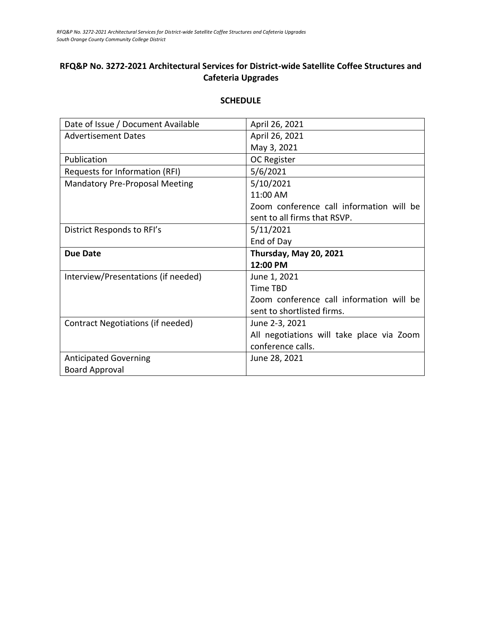# **RFQ&P No. 3272-2021 Architectural Services for District-wide Satellite Coffee Structures and Cafeteria Upgrades**

# Date of Issue / Document Available | April 26, 2021 Advertisement Dates April 26, 2021 May 3, 2021 Publication and OC Register Requests for Information (RFI) 3/6/2021 Mandatory Pre-Proposal Meeting 15/10/2021 11:00 AM Zoom conference call information will be sent to all firms that RSVP. District Responds to RFI's 5/11/2021 End of Day **Due Date Thursday, May 20, 2021 12:00 PM** Interview/Presentations (if needed) June 1, 2021 Time TBD Zoom conference call information will be sent to shortlisted firms. Contract Negotiations (if needed) June 2-3, 2021 All negotiations will take place via Zoom conference calls. Anticipated Governing Board Approval June 28, 2021

#### **SCHEDULE**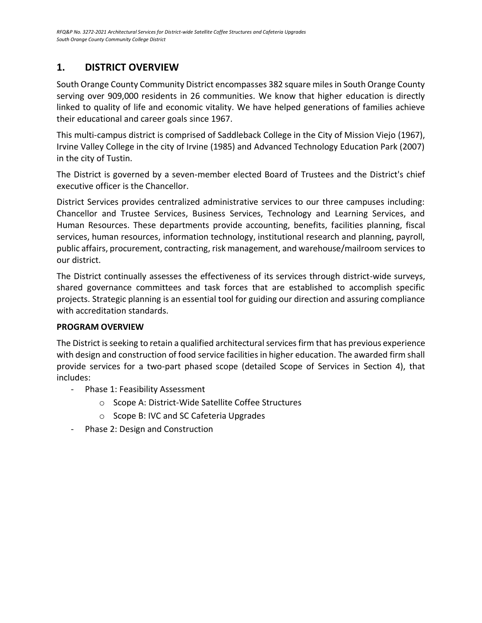# <span id="page-5-0"></span>**1. DISTRICT OVERVIEW**

South Orange County Community District encompasses 382 square miles in South Orange County serving over 909,000 residents in 26 communities. We know that higher education is directly linked to quality of life and economic vitality. We have helped generations of families achieve their educational and career goals since 1967.

This multi-campus district is comprised of Saddleback College in the City of Mission Viejo (1967), Irvine Valley College in the city of Irvine (1985) and Advanced Technology Education Park (2007) in the city of Tustin.

The District is governed by a seven-member elected Board of Trustees and the District's chief executive officer is the Chancellor.

District Services provides centralized administrative services to our three campuses including: Chancellor and Trustee Services, Business Services, Technology and Learning Services, and Human Resources. These departments provide accounting, benefits, facilities planning, fiscal services, human resources, information technology, institutional research and planning, payroll, public affairs, procurement, contracting, risk management, and warehouse/mailroom services to our district.

The District continually assesses the effectiveness of its services through district-wide surveys, shared governance committees and task forces that are established to accomplish specific projects. Strategic planning is an essential tool for guiding our direction and assuring compliance with accreditation standards.

# **PROGRAM OVERVIEW**

The District is seeking to retain a qualified architectural services firm that has previous experience with design and construction of food service facilities in higher education. The awarded firm shall provide services for a two-part phased scope (detailed Scope of Services in Section 4), that includes:

- Phase 1: Feasibility Assessment
	- o Scope A: District-Wide Satellite Coffee Structures
	- o Scope B: IVC and SC Cafeteria Upgrades
- Phase 2: Design and Construction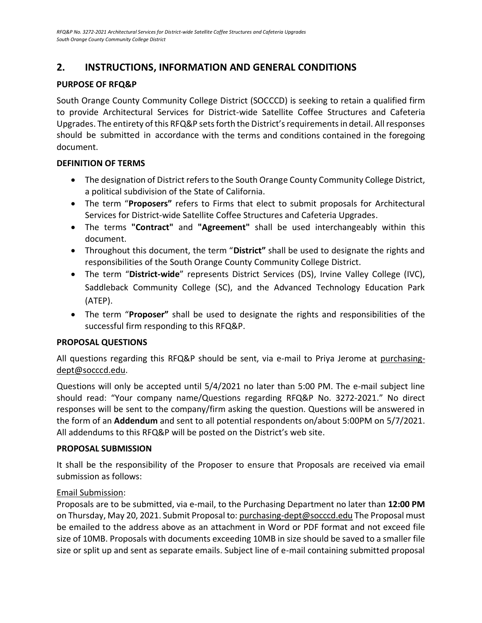# <span id="page-6-0"></span>**2. INSTRUCTIONS, INFORMATION AND GENERAL CONDITIONS**

# <span id="page-6-1"></span>**PURPOSE OF RFQ&P**

South Orange County Community College District (SOCCCD) is seeking to retain a qualified firm to provide Architectural Services for District-wide Satellite Coffee Structures and Cafeteria Upgrades. The entirety of this RFQ&P sets forth the District's requirements in detail. All responses should be submitted in accordance with the terms and conditions contained in the foregoing document.

# <span id="page-6-2"></span>**DEFINITION OF TERMS**

- The designation of District refers to the South Orange County Community College District, a political subdivision of the State of California.
- The term "**Proposers"** refers to Firms that elect to submit proposals for Architectural Services for District-wide Satellite Coffee Structures and Cafeteria Upgrades.
- The terms **"Contract"** and **"Agreement"** shall be used interchangeably within this document.
- Throughout this document, the term "**District"** shall be used to designate the rights and responsibilities of the South Orange County Community College District.
- The term "**District-wide**" represents District Services (DS), Irvine Valley College (IVC), Saddleback Community College (SC), and the Advanced Technology Education Park (ATEP).
- The term "**Proposer"** shall be used to designate the rights and responsibilities of the successful firm responding to this RFQ&P.

# <span id="page-6-3"></span>**PROPOSAL QUESTIONS**

All questions regarding this RFQ&P should be sent, via e-mail to Priya Jerome at purchasingdept@socccd.edu.

Questions will only be accepted until 5/4/2021 no later than 5:00 PM. The e-mail subject line should read: "Your company name/Questions regarding RFQ&P No. 3272-2021." No direct responses will be sent to the company/firm asking the question. Questions will be answered in the form of an **Addendum** and sent to all potential respondents on/about 5:00PM on 5/7/2021. All addendums to this RFQ&P will be posted on the District's web site.

#### <span id="page-6-4"></span>**PROPOSAL SUBMISSION**

It shall be the responsibility of the Proposer to ensure that Proposals are received via email submission as follows:

# Email Submission:

Proposals are to be submitted, via e-mail, to the Purchasing Department no later than **12:00 PM** on Thursday, May 20, 2021. Submit Proposal to: [purchasing-dept@socccd.edu](mailto:purchasing-dept@socccd.edu) The Proposal must be emailed to the address above as an attachment in Word or PDF format and not exceed file size of 10MB. Proposals with documents exceeding 10MB in size should be saved to a smaller file size or split up and sent as separate emails. Subject line of e-mail containing submitted proposal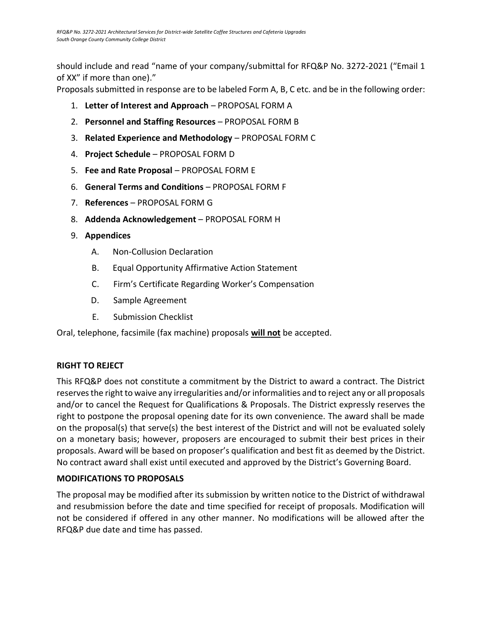should include and read "name of your company/submittal for RFQ&P No. 3272-2021 ("Email 1 of XX" if more than one)."

Proposals submitted in response are to be labeled Form A, B, C etc. and be in the following order:

- 1. **Letter of Interest and Approach** PROPOSAL FORM A
- 2. **Personnel and Staffing Resources** PROPOSAL FORM B
- 3. **Related Experience and Methodology** PROPOSAL FORM C
- 4. **Project Schedule** PROPOSAL FORM D
- 5. **Fee and Rate Proposal** PROPOSAL FORM E
- 6. **General Terms and Conditions** PROPOSAL FORM F
- 7. **References** PROPOSAL FORM G
- 8. **Addenda Acknowledgement** PROPOSAL FORM H
- 9. **Appendices**
	- A. Non-Collusion Declaration
	- B. Equal Opportunity Affirmative Action Statement
	- C. Firm's Certificate Regarding Worker's Compensation
	- D. Sample Agreement
	- E. Submission Checklist

<span id="page-7-0"></span>Oral, telephone, facsimile (fax machine) proposals **will not** be accepted.

# **RIGHT TO REJECT**

This RFQ&P does not constitute a commitment by the District to award a contract. The District reserves the right to waive any irregularities and/or informalities and to reject any or all proposals and/or to cancel the Request for Qualifications & Proposals. The District expressly reserves the right to postpone the proposal opening date for its own convenience. The award shall be made on the proposal(s) that serve(s) the best interest of the District and will not be evaluated solely on a monetary basis; however, proposers are encouraged to submit their best prices in their proposals. Award will be based on proposer's qualification and best fit as deemed by the District. No contract award shall exist until executed and approved by the District's Governing Board.

# <span id="page-7-1"></span>**MODIFICATIONS TO PROPOSALS**

The proposal may be modified after its submission by written notice to the District of withdrawal and resubmission before the date and time specified for receipt of proposals. Modification will not be considered if offered in any other manner. No modifications will be allowed after the RFQ&P due date and time has passed.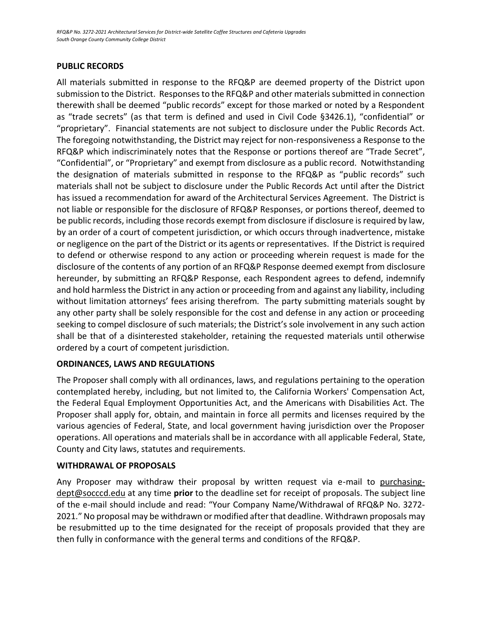## **PUBLIC RECORDS**

All materials submitted in response to the RFQ&P are deemed property of the District upon submission to the District. Responses to the RFQ&P and other materials submitted in connection therewith shall be deemed "public records" except for those marked or noted by a Respondent as "trade secrets" (as that term is defined and used in Civil Code §3426.1), "confidential" or "proprietary". Financial statements are not subject to disclosure under the Public Records Act. The foregoing notwithstanding, the District may reject for non-responsiveness a Response to the RFQ&P which indiscriminately notes that the Response or portions thereof are "Trade Secret", "Confidential", or "Proprietary" and exempt from disclosure as a public record. Notwithstanding the designation of materials submitted in response to the RFQ&P as "public records" such materials shall not be subject to disclosure under the Public Records Act until after the District has issued a recommendation for award of the Architectural Services Agreement. The District is not liable or responsible for the disclosure of RFQ&P Responses, or portions thereof, deemed to be public records, including those records exempt from disclosure if disclosure is required by law, by an order of a court of competent jurisdiction, or which occurs through inadvertence, mistake or negligence on the part of the District or its agents or representatives. If the District is required to defend or otherwise respond to any action or proceeding wherein request is made for the disclosure of the contents of any portion of an RFQ&P Response deemed exempt from disclosure hereunder, by submitting an RFQ&P Response, each Respondent agrees to defend, indemnify and hold harmless the District in any action or proceeding from and against any liability, including without limitation attorneys' fees arising therefrom. The party submitting materials sought by any other party shall be solely responsible for the cost and defense in any action or proceeding seeking to compel disclosure of such materials; the District's sole involvement in any such action shall be that of a disinterested stakeholder, retaining the requested materials until otherwise ordered by a court of competent jurisdiction.

# <span id="page-8-0"></span>**ORDINANCES, LAWS AND REGULATIONS**

The Proposer shall comply with all ordinances, laws, and regulations pertaining to the operation contemplated hereby, including, but not limited to, the California Workers' Compensation Act, the Federal Equal Employment Opportunities Act, and the Americans with Disabilities Act. The Proposer shall apply for, obtain, and maintain in force all permits and licenses required by the various agencies of Federal, State, and local government having jurisdiction over the Proposer operations. All operations and materials shall be in accordance with all applicable Federal, State, County and City laws, statutes and requirements.

#### <span id="page-8-1"></span>**WITHDRAWAL OF PROPOSALS**

<span id="page-8-2"></span>Any Proposer may withdraw their proposal by written request via e-mail to purchasingdept@socccd.edu at any time **prior** to the deadline set for receipt of proposals. The subject line of the e-mail should include and read: "Your Company Name/Withdrawal of RFQ&P No. 3272- 2021." No proposal may be withdrawn or modified after that deadline. Withdrawn proposals may be resubmitted up to the time designated for the receipt of proposals provided that they are then fully in conformance with the general terms and conditions of the RFQ&P.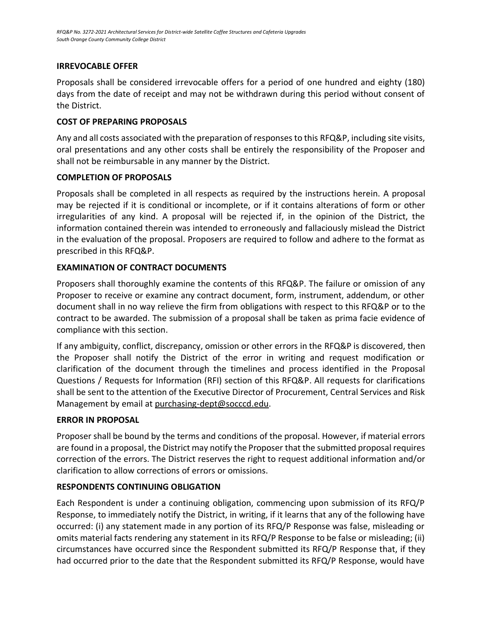## **IRREVOCABLE OFFER**

Proposals shall be considered irrevocable offers for a period of one hundred and eighty (180) days from the date of receipt and may not be withdrawn during this period without consent of the District.

## <span id="page-9-0"></span>**COST OF PREPARING PROPOSALS**

Any and all costs associated with the preparation of responses to this RFQ&P, including site visits, oral presentations and any other costs shall be entirely the responsibility of the Proposer and shall not be reimbursable in any manner by the District.

## **COMPLETION OF PROPOSALS**

Proposals shall be completed in all respects as required by the instructions herein. A proposal may be rejected if it is conditional or incomplete, or if it contains alterations of form or other irregularities of any kind. A proposal will be rejected if, in the opinion of the District, the information contained therein was intended to erroneously and fallaciously mislead the District in the evaluation of the proposal. Proposers are required to follow and adhere to the format as prescribed in this RFQ&P.

## **EXAMINATION OF CONTRACT DOCUMENTS**

Proposers shall thoroughly examine the contents of this RFQ&P. The failure or omission of any Proposer to receive or examine any contract document, form, instrument, addendum, or other document shall in no way relieve the firm from obligations with respect to this RFQ&P or to the contract to be awarded. The submission of a proposal shall be taken as prima facie evidence of compliance with this section.

If any ambiguity, conflict, discrepancy, omission or other errors in the RFQ&P is discovered, then the Proposer shall notify the District of the error in writing and request modification or clarification of the document through the timelines and process identified in the Proposal Questions / Requests for Information (RFI) section of this RFQ&P. All requests for clarifications shall be sent to the attention of the Executive Director of Procurement, Central Services and Risk Management by email a[t purchasing-dept@socccd.edu.](mailto:purchasing-dept@socccd.edu)

# **ERROR IN PROPOSAL**

Proposer shall be bound by the terms and conditions of the proposal. However, if material errors are found in a proposal, the District may notify the Proposer that the submitted proposal requires correction of the errors. The District reserves the right to request additional information and/or clarification to allow corrections of errors or omissions.

# **RESPONDENTS CONTINUING OBLIGATION**

Each Respondent is under a continuing obligation, commencing upon submission of its RFQ/P Response, to immediately notify the District, in writing, if it learns that any of the following have occurred: (i) any statement made in any portion of its RFQ/P Response was false, misleading or omits material facts rendering any statement in its RFQ/P Response to be false or misleading; (ii) circumstances have occurred since the Respondent submitted its RFQ/P Response that, if they had occurred prior to the date that the Respondent submitted its RFQ/P Response, would have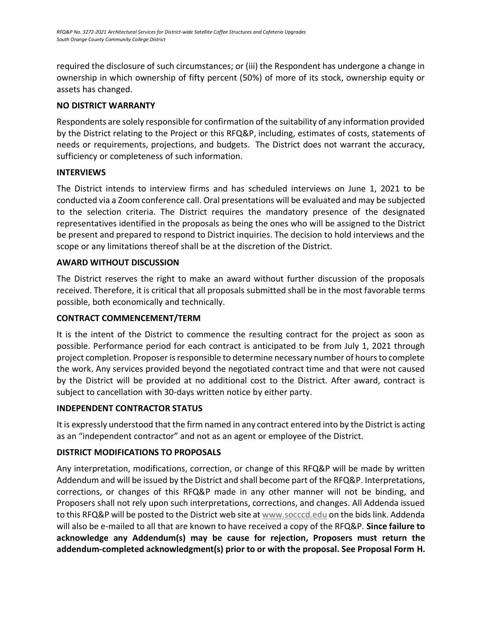required the disclosure of such circumstances; or (iii) the Respondent has undergone a change in ownership in which ownership of fifty percent (50%) of more of its stock, ownership equity or assets has changed.

# **NO DISTRICT WARRANTY**

Respondents are solely responsible for confirmation of the suitability of any information provided by the District relating to the Project or this RFQ&P, including, estimates of costs, statements of needs or requirements, projections, and budgets. The District does not warrant the accuracy, sufficiency or completeness of such information.

# <span id="page-10-0"></span>**INTERVIEWS**

The District intends to interview firms and has scheduled interviews on June 1, 2021 to be conducted via a Zoom conference call. Oral presentations will be evaluated and may be subjected to the selection criteria. The District requires the mandatory presence of the designated representatives identified in the proposals as being the ones who will be assigned to the District be present and prepared to respond to District inquiries. The decision to hold interviews and the scope or any limitations thereof shall be at the discretion of the District.

# <span id="page-10-1"></span>**AWARD WITHOUT DISCUSSION**

The District reserves the right to make an award without further discussion of the proposals received. Therefore, it is critical that all proposals submitted shall be in the most favorable terms possible, both economically and technically.

# <span id="page-10-2"></span>**CONTRACT COMMENCEMENT/TERM**

It is the intent of the District to commence the resulting contract for the project as soon as possible. Performance period for each contract is anticipated to be from July 1, 2021 through project completion. Proposer is responsible to determine necessary number of hours to complete the work. Any services provided beyond the negotiated contract time and that were not caused by the District will be provided at no additional cost to the District. After award, contract is subject to cancellation with 30-days written notice by either party.

# **INDEPENDENT CONTRACTOR STATUS**

It is expressly understood that the firm named in any contract entered into by the District is acting as an "independent contractor" and not as an agent or employee of the District.

# <span id="page-10-3"></span>**DISTRICT MODIFICATIONS TO PROPOSALS**

<span id="page-10-4"></span>Any interpretation, modifications, correction, or change of this RFQ&P will be made by written Addendum and will be issued by the District and shall become part of the RFQ&P. Interpretations, corrections, or changes of this RFQ&P made in any other manner will not be binding, and Proposers shall not rely upon such interpretations, corrections, and changes. All Addenda issued to this RFQ&P will be posted to the District web site at [www.socccd.edu](http://www.socccd.edu/) on the bids link. Addenda will also be e-mailed to all that are known to have received a copy of the RFQ&P. **Since failure to acknowledge any Addendum(s) may be cause for rejection, Proposers must return the addendum-completed acknowledgment(s) prior to or with the proposal. See Proposal Form H.**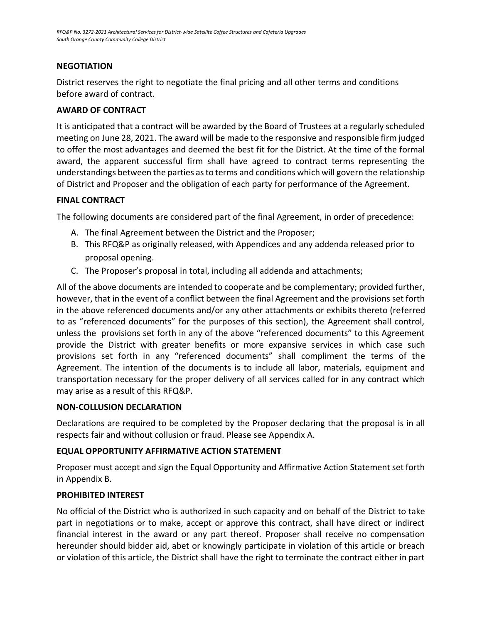# **NEGOTIATION**

<span id="page-11-0"></span>District reserves the right to negotiate the final pricing and all other terms and conditions before award of contract.

# **AWARD OF CONTRACT**

It is anticipated that a contract will be awarded by the Board of Trustees at a regularly scheduled meeting on June 28, 2021. The award will be made to the responsive and responsible firm judged to offer the most advantages and deemed the best fit for the District. At the time of the formal award, the apparent successful firm shall have agreed to contract terms representing the understandings between the parties as to terms and conditions which will govern the relationship of District and Proposer and the obligation of each party for performance of the Agreement.

## <span id="page-11-1"></span>**FINAL CONTRACT**

The following documents are considered part of the final Agreement, in order of precedence:

- A. The final Agreement between the District and the Proposer;
- B. This RFQ&P as originally released, with Appendices and any addenda released prior to proposal opening.
- C. The Proposer's proposal in total, including all addenda and attachments;

All of the above documents are intended to cooperate and be complementary; provided further, however, that in the event of a conflict between the final Agreement and the provisions set forth in the above referenced documents and/or any other attachments or exhibits thereto (referred to as "referenced documents" for the purposes of this section), the Agreement shall control, unless the provisions set forth in any of the above "referenced documents" to this Agreement provide the District with greater benefits or more expansive services in which case such provisions set forth in any "referenced documents" shall compliment the terms of the Agreement. The intention of the documents is to include all labor, materials, equipment and transportation necessary for the proper delivery of all services called for in any contract which may arise as a result of this RFQ&P.

# **NON-COLLUSION DECLARATION**

Declarations are required to be completed by the Proposer declaring that the proposal is in all respects fair and without collusion or fraud. Please see Appendix A.

# <span id="page-11-2"></span>**EQUAL OPPORTUNITY AFFIRMATIVE ACTION STATEMENT**

Proposer must accept and sign the Equal Opportunity and Affirmative Action Statement set forth in Appendix B.

# <span id="page-11-3"></span>**PROHIBITED INTEREST**

No official of the District who is authorized in such capacity and on behalf of the District to take part in negotiations or to make, accept or approve this contract, shall have direct or indirect financial interest in the award or any part thereof. Proposer shall receive no compensation hereunder should bidder aid, abet or knowingly participate in violation of this article or breach or violation of this article, the District shall have the right to terminate the contract either in part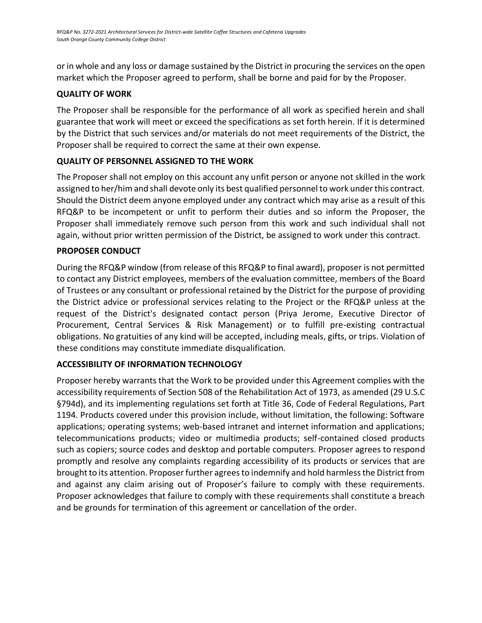or in whole and any loss or damage sustained by the District in procuring the services on the open market which the Proposer agreed to perform, shall be borne and paid for by the Proposer.

# <span id="page-12-0"></span>**QUALITY OF WORK**

The Proposer shall be responsible for the performance of all work as specified herein and shall guarantee that work will meet or exceed the specifications as set forth herein. If it is determined by the District that such services and/or materials do not meet requirements of the District, the Proposer shall be required to correct the same at their own expense.

# <span id="page-12-1"></span>**QUALITY OF PERSONNEL ASSIGNED TO THE WORK**

<span id="page-12-2"></span>The Proposer shall not employ on this account any unfit person or anyone not skilled in the work assigned to her/him and shall devote only its best qualified personnel to work under this contract. Should the District deem anyone employed under any contract which may arise as a result of this RFQ&P to be incompetent or unfit to perform their duties and so inform the Proposer, the Proposer shall immediately remove such person from this work and such individual shall not again, without prior written permission of the District, be assigned to work under this contract.

# **PROPOSER CONDUCT**

<span id="page-12-3"></span>During the RFQ&P window (from release of this RFQ&P to final award), proposer is not permitted to contact any District employees, members of the evaluation committee, members of the Board of Trustees or any consultant or professional retained by the District for the purpose of providing the District advice or professional services relating to the Project or the RFQ&P unless at the request of the District's designated contact person (Priya Jerome, Executive Director of Procurement, Central Services & Risk Management) or to fulfill pre-existing contractual obligations. No gratuities of any kind will be accepted, including meals, gifts, or trips. Violation of these conditions may constitute immediate disqualification.

# **ACCESSIBILITY OF INFORMATION TECHNOLOGY**

Proposer hereby warrants that the Work to be provided under this Agreement complies with the accessibility requirements of Section 508 of the Rehabilitation Act of 1973, as amended (29 U.S.C §794d), and its implementing regulations set forth at Title 36, Code of Federal Regulations, Part 1194. Products covered under this provision include, without limitation, the following: Software applications; operating systems; web-based intranet and internet information and applications; telecommunications products; video or multimedia products; self-contained closed products such as copiers; source codes and desktop and portable computers. Proposer agrees to respond promptly and resolve any complaints regarding accessibility of its products or services that are brought to its attention. Proposer further agrees to indemnify and hold harmless the District from and against any claim arising out of Proposer's failure to comply with these requirements. Proposer acknowledges that failure to comply with these requirements shall constitute a breach and be grounds for termination of this agreement or cancellation of the order.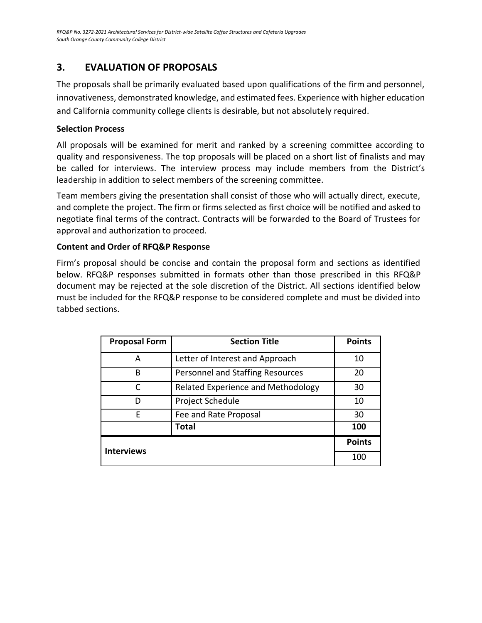# **3. EVALUATION OF PROPOSALS**

The proposals shall be primarily evaluated based upon qualifications of the firm and personnel, innovativeness, demonstrated knowledge, and estimated fees. Experience with higher education and California community college clients is desirable, but not absolutely required.

# **Selection Process**

All proposals will be examined for merit and ranked by a screening committee according to quality and responsiveness. The top proposals will be placed on a short list of finalists and may be called for interviews. The interview process may include members from the District's leadership in addition to select members of the screening committee.

Team members giving the presentation shall consist of those who will actually direct, execute, and complete the project. The firm or firms selected as first choice will be notified and asked to negotiate final terms of the contract. Contracts will be forwarded to the Board of Trustees for approval and authorization to proceed.

# **Content and Order of RFQ&P Response**

Firm's proposal should be concise and contain the proposal form and sections as identified below. RFQ&P responses submitted in formats other than those prescribed in this RFQ&P document may be rejected at the sole discretion of the District. All sections identified below must be included for the RFQ&P response to be considered complete and must be divided into tabbed sections.

| <b>Proposal Form</b> | <b>Section Title</b>               | <b>Points</b> |
|----------------------|------------------------------------|---------------|
| A                    | Letter of Interest and Approach    | 10            |
| B                    | Personnel and Staffing Resources   | 20            |
| C                    | Related Experience and Methodology | 30            |
| D                    | Project Schedule                   | 10            |
| F                    | Fee and Rate Proposal              | 30            |
|                      | <b>Total</b>                       | 100           |
|                      |                                    | <b>Points</b> |
| <b>Interviews</b>    |                                    | 100           |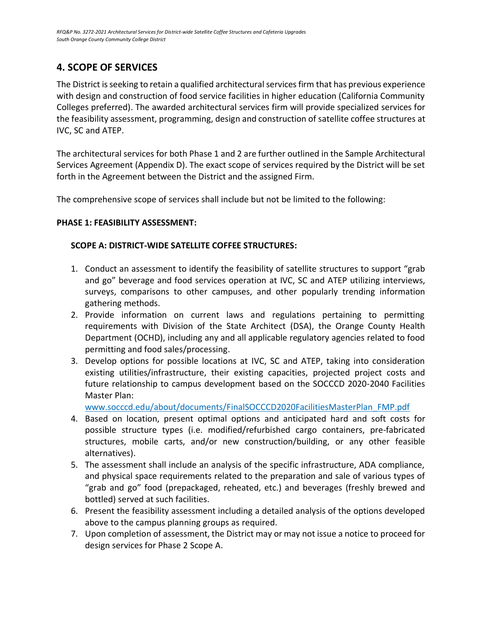# <span id="page-14-0"></span>**4. SCOPE OF SERVICES**

The District is seeking to retain a qualified architectural services firm that has previous experience with design and construction of food service facilities in higher education (California Community Colleges preferred). The awarded architectural services firm will provide specialized services for the feasibility assessment, programming, design and construction of satellite coffee structures at IVC, SC and ATEP.

The architectural services for both Phase 1 and 2 are further outlined in the Sample Architectural Services Agreement (Appendix D). The exact scope of services required by the District will be set forth in the Agreement between the District and the assigned Firm.

The comprehensive scope of services shall include but not be limited to the following:

## **PHASE 1: FEASIBILITY ASSESSMENT:**

## **SCOPE A: DISTRICT-WIDE SATELLITE COFFEE STRUCTURES:**

- 1. Conduct an assessment to identify the feasibility of satellite structures to support "grab and go" beverage and food services operation at IVC, SC and ATEP utilizing interviews, surveys, comparisons to other campuses, and other popularly trending information gathering methods.
- 2. Provide information on current laws and regulations pertaining to permitting requirements with Division of the State Architect (DSA), the Orange County Health Department (OCHD), including any and all applicable regulatory agencies related to food permitting and food sales/processing.
- 3. Develop options for possible locations at IVC, SC and ATEP, taking into consideration existing utilities/infrastructure, their existing capacities, projected project costs and future relationship to campus development based on the SOCCCD 2020-2040 Facilities Master Plan:

[www.socccd.edu/about/documents/FinalSOCCCD2020FacilitiesMasterPlan\\_FMP.pdf](http://www.socccd.edu/about/documents/FinalSOCCCD2020FacilitiesMasterPlan_FMP.pdf)

- 4. Based on location, present optimal options and anticipated hard and soft costs for possible structure types (i.e. modified/refurbished cargo containers, pre-fabricated structures, mobile carts, and/or new construction/building, or any other feasible alternatives).
- 5. The assessment shall include an analysis of the specific infrastructure, ADA compliance, and physical space requirements related to the preparation and sale of various types of "grab and go" food (prepackaged, reheated, etc.) and beverages (freshly brewed and bottled) served at such facilities.
- 6. Present the feasibility assessment including a detailed analysis of the options developed above to the campus planning groups as required.
- 7. Upon completion of assessment, the District may or may not issue a notice to proceed for design services for Phase 2 Scope A.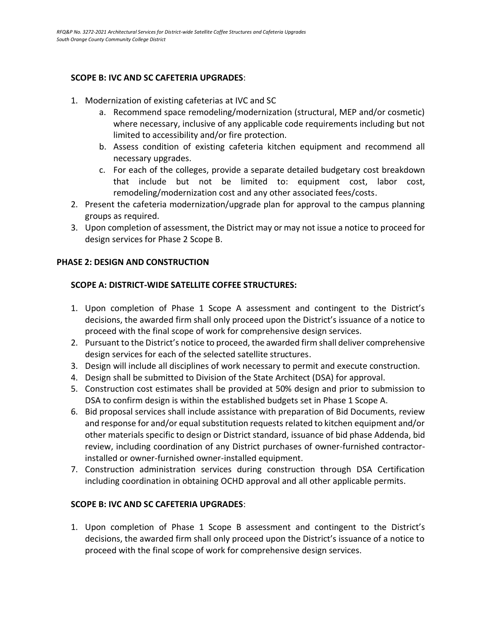## **SCOPE B: IVC AND SC CAFETERIA UPGRADES**:

- 1. Modernization of existing cafeterias at IVC and SC
	- a. Recommend space remodeling/modernization (structural, MEP and/or cosmetic) where necessary, inclusive of any applicable code requirements including but not limited to accessibility and/or fire protection.
	- b. Assess condition of existing cafeteria kitchen equipment and recommend all necessary upgrades.
	- c. For each of the colleges, provide a separate detailed budgetary cost breakdown that include but not be limited to: equipment cost, labor cost, remodeling/modernization cost and any other associated fees/costs.
- 2. Present the cafeteria modernization/upgrade plan for approval to the campus planning groups as required.
- 3. Upon completion of assessment, the District may or may not issue a notice to proceed for design services for Phase 2 Scope B.

## **PHASE 2: DESIGN AND CONSTRUCTION**

## **SCOPE A: DISTRICT-WIDE SATELLITE COFFEE STRUCTURES:**

- 1. Upon completion of Phase 1 Scope A assessment and contingent to the District's decisions, the awarded firm shall only proceed upon the District's issuance of a notice to proceed with the final scope of work for comprehensive design services.
- 2. Pursuant to the District's notice to proceed, the awarded firm shall deliver comprehensive design services for each of the selected satellite structures.
- 3. Design will include all disciplines of work necessary to permit and execute construction.
- 4. Design shall be submitted to Division of the State Architect (DSA) for approval.
- 5. Construction cost estimates shall be provided at 50% design and prior to submission to DSA to confirm design is within the established budgets set in Phase 1 Scope A.
- 6. Bid proposal services shall include assistance with preparation of Bid Documents, review and response for and/or equal substitution requests related to kitchen equipment and/or other materials specific to design or District standard, issuance of bid phase Addenda, bid review, including coordination of any District purchases of owner-furnished contractorinstalled or owner-furnished owner-installed equipment.
- 7. Construction administration services during construction through DSA Certification including coordination in obtaining OCHD approval and all other applicable permits.

# **SCOPE B: IVC AND SC CAFETERIA UPGRADES**:

1. Upon completion of Phase 1 Scope B assessment and contingent to the District's decisions, the awarded firm shall only proceed upon the District's issuance of a notice to proceed with the final scope of work for comprehensive design services.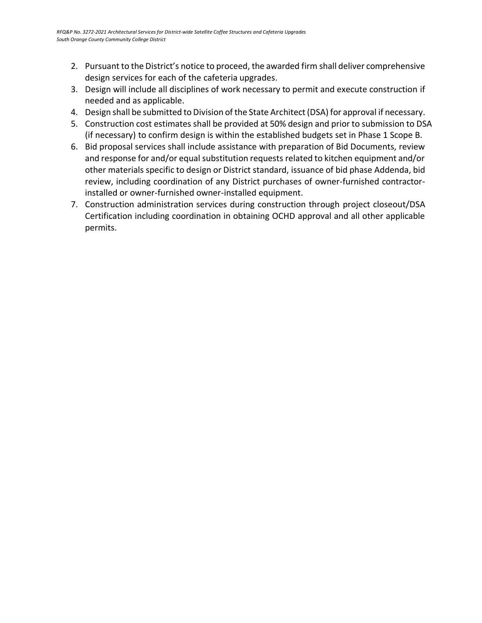- 2. Pursuant to the District's notice to proceed, the awarded firm shall deliver comprehensive design services for each of the cafeteria upgrades.
- 3. Design will include all disciplines of work necessary to permit and execute construction if needed and as applicable.
- 4. Design shall be submitted to Division of the State Architect (DSA) for approval if necessary.
- 5. Construction cost estimates shall be provided at 50% design and prior to submission to DSA (if necessary) to confirm design is within the established budgets set in Phase 1 Scope B.
- 6. Bid proposal services shall include assistance with preparation of Bid Documents, review and response for and/or equal substitution requests related to kitchen equipment and/or other materials specific to design or District standard, issuance of bid phase Addenda, bid review, including coordination of any District purchases of owner-furnished contractorinstalled or owner-furnished owner-installed equipment.
- 7. Construction administration services during construction through project closeout/DSA Certification including coordination in obtaining OCHD approval and all other applicable permits.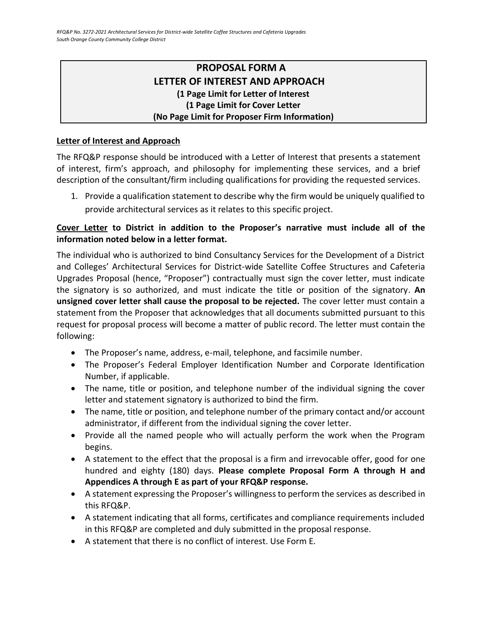# **PROPOSAL FORM A LETTER OF INTEREST AND APPROACH (1 Page Limit for Letter of Interest (1 Page Limit for Cover Letter (No Page Limit for Proposer Firm Information)**

# <span id="page-17-0"></span>**Letter of Interest and Approach**

The RFQ&P response should be introduced with a Letter of Interest that presents a statement of interest, firm's approach, and philosophy for implementing these services, and a brief description of the consultant/firm including qualifications for providing the requested services.

1. Provide a qualification statement to describe why the firm would be uniquely qualified to provide architectural services as it relates to this specific project.

# **Cover Letter to District in addition to the Proposer's narrative must include all of the information noted below in a letter format.**

The individual who is authorized to bind Consultancy Services for the Development of a District and Colleges' Architectural Services for District-wide Satellite Coffee Structures and Cafeteria Upgrades Proposal (hence, "Proposer") contractually must sign the cover letter, must indicate the signatory is so authorized, and must indicate the title or position of the signatory. **An unsigned cover letter shall cause the proposal to be rejected.** The cover letter must contain a statement from the Proposer that acknowledges that all documents submitted pursuant to this request for proposal process will become a matter of public record. The letter must contain the following:

- The Proposer's name, address, e-mail, telephone, and facsimile number.
- The Proposer's Federal Employer Identification Number and Corporate Identification Number, if applicable.
- The name, title or position, and telephone number of the individual signing the cover letter and statement signatory is authorized to bind the firm.
- The name, title or position, and telephone number of the primary contact and/or account administrator, if different from the individual signing the cover letter.
- Provide all the named people who will actually perform the work when the Program begins.
- A statement to the effect that the proposal is a firm and irrevocable offer, good for one hundred and eighty (180) days. **Please complete Proposal Form A through H and Appendices A through E as part of your RFQ&P response.**
- A statement expressing the Proposer's willingness to perform the services as described in this RFQ&P.
- A statement indicating that all forms, certificates and compliance requirements included in this RFQ&P are completed and duly submitted in the proposal response.
- A statement that there is no conflict of interest. Use Form E.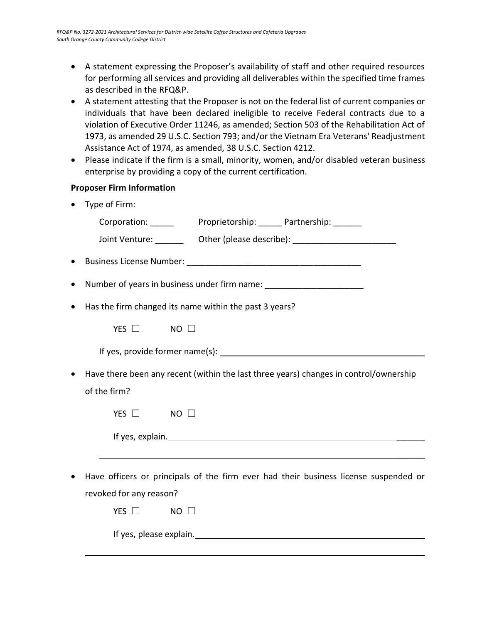- A statement expressing the Proposer's availability of staff and other required resources for performing all services and providing all deliverables within the specified time frames as described in the RFQ&P.
- A statement attesting that the Proposer is not on the federal list of current companies or individuals that have been declared ineligible to receive Federal contracts due to a violation of Executive Order 11246, as amended; Section 503 of the Rehabilitation Act of 1973, as amended 29 U.S.C. Section 793; and/or the Vietnam Era Veterans' Readjustment Assistance Act of 1974, as amended, 38 U.S.C. Section 4212.
- Please indicate if the firm is a small, minority, women, and/or disabled veteran business enterprise by providing a copy of the current certification.

# **Proposer Firm Information**

• Type of Firm:

|           | Joint Venture: ________ Other (please describe): _______________________________      |
|-----------|---------------------------------------------------------------------------------------|
|           |                                                                                       |
|           | Number of years in business under firm name: ___________________________________      |
| $\bullet$ | Has the firm changed its name within the past 3 years?                                |
|           | YES $\Box$<br>$NO$ $\square$                                                          |
|           |                                                                                       |
| $\bullet$ | Have there been any recent (within the last three years) changes in control/ownership |
|           | of the firm?                                                                          |
|           | YES $\Box$<br>$NO$ $\square$                                                          |
|           |                                                                                       |
|           | ,我们也不会有什么。""我们的人,我们也不会有什么?""我们的人,我们也不会有什么?""我们的人,我们也不会有什么?""我们的人,我们也不会有什么?""我们的人      |
| $\bullet$ | Have officers or principals of the firm ever had their business license suspended or  |
|           | revoked for any reason?                                                               |
|           | YES $\Box$<br>$NO$ $\square$                                                          |
|           | If yes, please explain.                                                               |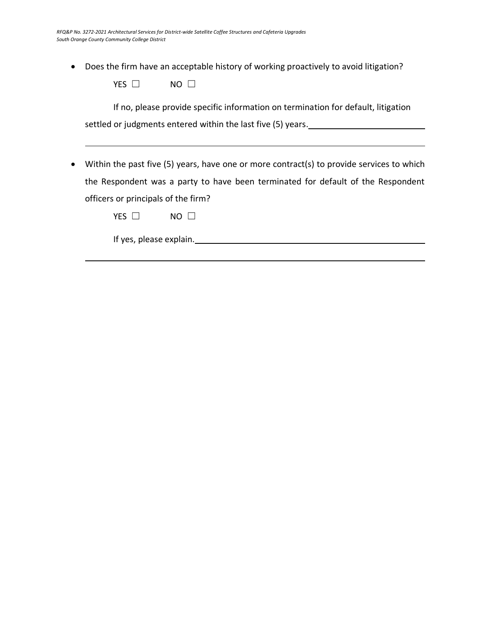• Does the firm have an acceptable history of working proactively to avoid litigation?

| YES | NΟ |  |
|-----|----|--|
|-----|----|--|

If no, please provide specific information on termination for default, litigation settled or judgments entered within the last five (5) years.

• Within the past five (5) years, have one or more contract(s) to provide services to which the Respondent was a party to have been terminated for default of the Respondent officers or principals of the firm?

If yes, please explain.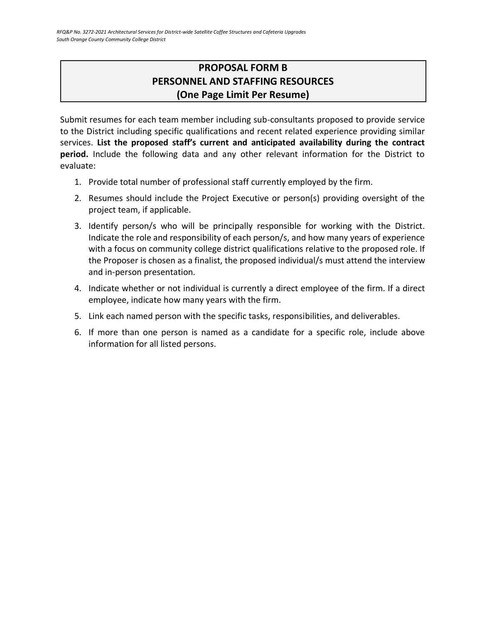# **PROPOSAL FORM B PERSONNEL AND STAFFING RESOURCES (One Page Limit Per Resume)**

<span id="page-20-0"></span>Submit resumes for each team member including sub-consultants proposed to provide service to the District including specific qualifications and recent related experience providing similar services. **List the proposed staff's current and anticipated availability during the contract period.** Include the following data and any other relevant information for the District to evaluate:

- 1. Provide total number of professional staff currently employed by the firm.
- 2. Resumes should include the Project Executive or person(s) providing oversight of the project team, if applicable.
- 3. Identify person/s who will be principally responsible for working with the District. Indicate the role and responsibility of each person/s, and how many years of experience with a focus on community college district qualifications relative to the proposed role. If the Proposer is chosen as a finalist, the proposed individual/s must attend the interview and in-person presentation.
- 4. Indicate whether or not individual is currently a direct employee of the firm. If a direct employee, indicate how many years with the firm.
- 5. Link each named person with the specific tasks, responsibilities, and deliverables.
- 6. If more than one person is named as a candidate for a specific role, include above information for all listed persons.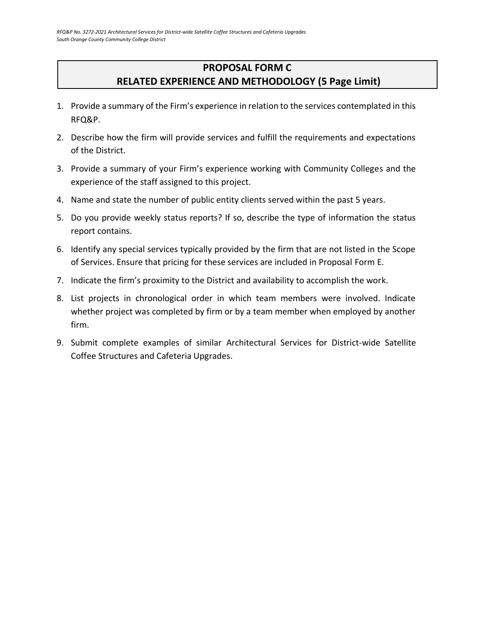# **PROPOSAL FORM C RELATED EXPERIENCE AND METHODOLOGY (5 Page Limit)**

- <span id="page-21-0"></span>1. Provide a summary of the Firm's experience in relation to the services contemplated in this RFQ&P.
- 2. Describe how the firm will provide services and fulfill the requirements and expectations of the District.
- 3. Provide a summary of your Firm's experience working with Community Colleges and the experience of the staff assigned to this project.
- 4. Name and state the number of public entity clients served within the past 5 years.
- 5. Do you provide weekly status reports? If so, describe the type of information the status report contains.
- 6. Identify any special services typically provided by the firm that are not listed in the Scope of Services. Ensure that pricing for these services are included in Proposal Form E.
- 7. Indicate the firm's proximity to the District and availability to accomplish the work.
- 8. List projects in chronological order in which team members were involved. Indicate whether project was completed by firm or by a team member when employed by another firm.
- 9. Submit complete examples of similar Architectural Services for District-wide Satellite Coffee Structures and Cafeteria Upgrades.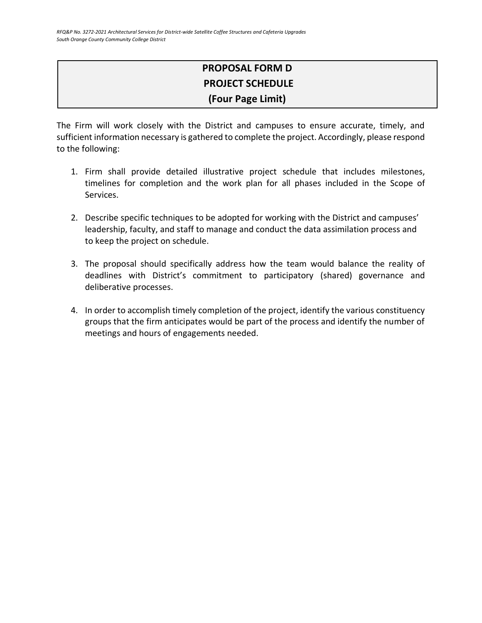# **PROPOSAL FORM D PROJECT SCHEDULE (Four Page Limit)**

The Firm will work closely with the District and campuses to ensure accurate, timely, and sufficient information necessary is gathered to complete the project. Accordingly, please respond to the following:

- 1. Firm shall provide detailed illustrative project schedule that includes milestones, timelines for completion and the work plan for all phases included in the Scope of Services.
- 2. Describe specific techniques to be adopted for working with the District and campuses' leadership, faculty, and staff to manage and conduct the data assimilation process and to keep the project on schedule.
- 3. The proposal should specifically address how the team would balance the reality of deadlines with District's commitment to participatory (shared) governance and deliberative processes.
- 4. In order to accomplish timely completion of the project, identify the various constituency groups that the firm anticipates would be part of the process and identify the number of meetings and hours of engagements needed.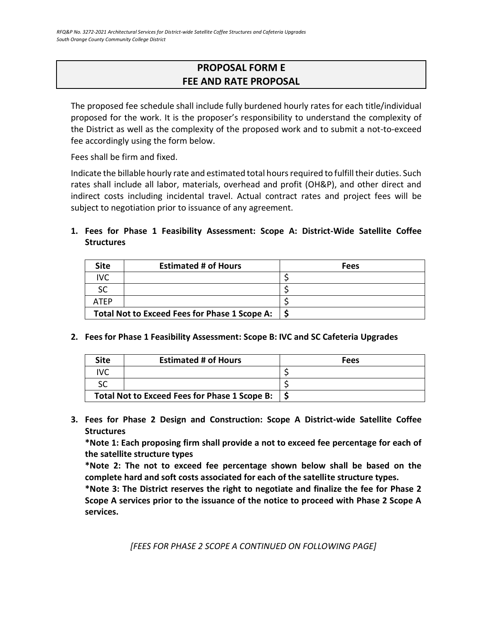# **PROPOSAL FORM E FEE AND RATE PROPOSAL**

<span id="page-23-0"></span>The proposed fee schedule shall include fully burdened hourly rates for each title/individual proposed for the work. It is the proposer's responsibility to understand the complexity of the District as well as the complexity of the proposed work and to submit a not-to-exceed fee accordingly using the form below.

Fees shall be firm and fixed.

Indicate the billable hourly rate and estimated total hours required to fulfill their duties. Such rates shall include all labor, materials, overhead and profit (OH&P), and other direct and indirect costs including incidental travel. Actual contract rates and project fees will be subject to negotiation prior to issuance of any agreement.

**1. Fees for Phase 1 Feasibility Assessment: Scope A: District-Wide Satellite Coffee Structures**

| <b>Site</b>                                   | <b>Estimated # of Hours</b> | Fees |
|-----------------------------------------------|-----------------------------|------|
| IVC                                           |                             |      |
|                                               |                             |      |
| <b>ATFP</b>                                   |                             |      |
| Total Not to Exceed Fees for Phase 1 Scope A: |                             |      |

#### **2. Fees for Phase 1 Feasibility Assessment: Scope B: IVC and SC Cafeteria Upgrades**

| Site                                          | <b>Estimated # of Hours</b> | Fees |
|-----------------------------------------------|-----------------------------|------|
|                                               |                             |      |
|                                               |                             |      |
| Total Not to Exceed Fees for Phase 1 Scope B: |                             |      |

**3. Fees for Phase 2 Design and Construction: Scope A District-wide Satellite Coffee Structures**

**\*Note 1: Each proposing firm shall provide a not to exceed fee percentage for each of the satellite structure types** 

**\*Note 2: The not to exceed fee percentage shown below shall be based on the complete hard and soft costs associated for each of the satellite structure types.**

**\*Note 3: The District reserves the right to negotiate and finalize the fee for Phase 2 Scope A services prior to the issuance of the notice to proceed with Phase 2 Scope A services.**

*[FEES FOR PHASE 2 SCOPE A CONTINUED ON FOLLOWING PAGE]*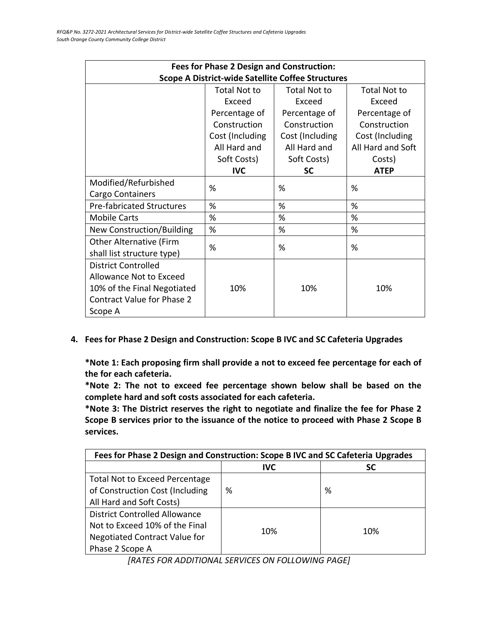| <b>Fees for Phase 2 Design and Construction:</b>         |                     |                     |                     |  |
|----------------------------------------------------------|---------------------|---------------------|---------------------|--|
| <b>Scope A District-wide Satellite Coffee Structures</b> |                     |                     |                     |  |
|                                                          | <b>Total Not to</b> | <b>Total Not to</b> | <b>Total Not to</b> |  |
|                                                          | Exceed              | Exceed              | Exceed              |  |
|                                                          | Percentage of       | Percentage of       | Percentage of       |  |
|                                                          | Construction        | Construction        | Construction        |  |
|                                                          | Cost (Including     | Cost (Including     | Cost (Including     |  |
|                                                          | All Hard and        | All Hard and        | All Hard and Soft   |  |
|                                                          | Soft Costs)         | Soft Costs)         | Costs)              |  |
|                                                          | <b>IVC</b>          | <b>SC</b>           | <b>ATEP</b>         |  |
| Modified/Refurbished                                     | %                   | %                   | %                   |  |
| Cargo Containers                                         |                     |                     |                     |  |
| <b>Pre-fabricated Structures</b>                         | %                   | %                   | %                   |  |
| <b>Mobile Carts</b>                                      | %                   | %                   | %                   |  |
| New Construction/Building                                | %                   | %                   | %                   |  |
| Other Alternative (Firm                                  | %                   | %                   | %                   |  |
| shall list structure type)                               |                     |                     |                     |  |
| <b>District Controlled</b>                               |                     |                     |                     |  |
| Allowance Not to Exceed                                  |                     |                     |                     |  |
| 10% of the Final Negotiated                              | 10%                 | 10%                 | 10%                 |  |
| <b>Contract Value for Phase 2</b>                        |                     |                     |                     |  |
| Scope A                                                  |                     |                     |                     |  |

**4. Fees for Phase 2 Design and Construction: Scope B IVC and SC Cafeteria Upgrades**

**\*Note 1: Each proposing firm shall provide a not to exceed fee percentage for each of the for each cafeteria.** 

**\*Note 2: The not to exceed fee percentage shown below shall be based on the complete hard and soft costs associated for each cafeteria.**

**\*Note 3: The District reserves the right to negotiate and finalize the fee for Phase 2 Scope B services prior to the issuance of the notice to proceed with Phase 2 Scope B services.**

| Fees for Phase 2 Design and Construction: Scope B IVC and SC Cafeteria Upgrades |            |           |  |
|---------------------------------------------------------------------------------|------------|-----------|--|
|                                                                                 | <b>IVC</b> | <b>SC</b> |  |
| <b>Total Not to Exceed Percentage</b>                                           |            |           |  |
| of Construction Cost (Including                                                 | %          | %         |  |
| All Hard and Soft Costs)                                                        |            |           |  |
| <b>District Controlled Allowance</b>                                            |            |           |  |
| Not to Exceed 10% of the Final                                                  | 10%        | 10%       |  |
| <b>Negotiated Contract Value for</b>                                            |            |           |  |
| Phase 2 Scope A                                                                 |            |           |  |

*[RATES FOR ADDITIONAL SERVICES ON FOLLOWING PAGE]*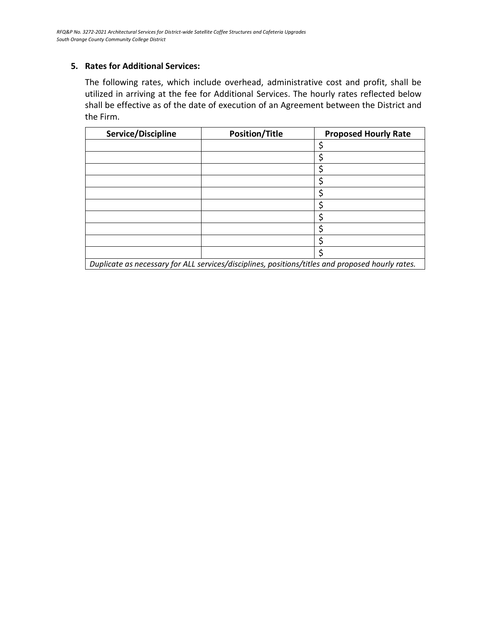## **5. Rates for Additional Services:**

The following rates, which include overhead, administrative cost and profit, shall be utilized in arriving at the fee for Additional Services. The hourly rates reflected below shall be effective as of the date of execution of an Agreement between the District and the Firm.

| Service/Discipline                                                                               | <b>Position/Title</b> | <b>Proposed Hourly Rate</b> |
|--------------------------------------------------------------------------------------------------|-----------------------|-----------------------------|
|                                                                                                  |                       |                             |
|                                                                                                  |                       |                             |
|                                                                                                  |                       |                             |
|                                                                                                  |                       |                             |
|                                                                                                  |                       |                             |
|                                                                                                  |                       |                             |
|                                                                                                  |                       | Ċ                           |
|                                                                                                  |                       |                             |
|                                                                                                  |                       |                             |
|                                                                                                  |                       |                             |
| Duplicate as necessary for ALL services/disciplines, positions/titles and proposed hourly rates. |                       |                             |

*Duplicate as necessary for ALL services/disciplines, positions/titles and proposed hourly rates.*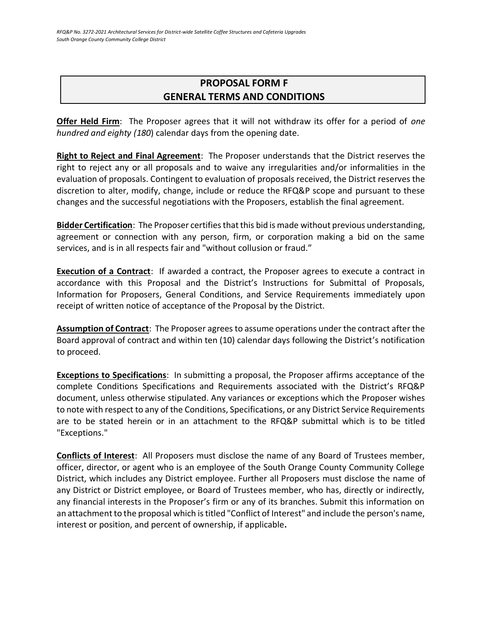# <span id="page-26-0"></span>**PROPOSAL FORM F GENERAL TERMS AND CONDITIONS**

**Offer Held Firm**: The Proposer agrees that it will not withdraw its offer for a period of *one hundred and eighty (180*) calendar days from the opening date.

**Right to Reject and Final Agreement**: The Proposer understands that the District reserves the right to reject any or all proposals and to waive any irregularities and/or informalities in the evaluation of proposals. Contingent to evaluation of proposals received, the District reserves the discretion to alter, modify, change, include or reduce the RFQ&P scope and pursuant to these changes and the successful negotiations with the Proposers, establish the final agreement.

**Bidder Certification**: The Proposer certifies that this bid is made without previous understanding, agreement or connection with any person, firm, or corporation making a bid on the same services, and is in all respects fair and "without collusion or fraud."

**Execution of a Contract**: If awarded a contract, the Proposer agrees to execute a contract in accordance with this Proposal and the District's Instructions for Submittal of Proposals, Information for Proposers, General Conditions, and Service Requirements immediately upon receipt of written notice of acceptance of the Proposal by the District.

**Assumption of Contract**: The Proposer agrees to assume operations under the contract after the Board approval of contract and within ten (10) calendar days following the District's notification to proceed.

**Exceptions to Specifications**: In submitting a proposal, the Proposer affirms acceptance of the complete Conditions Specifications and Requirements associated with the District's RFQ&P document, unless otherwise stipulated. Any variances or exceptions which the Proposer wishes to note with respect to any of the Conditions, Specifications, or any District Service Requirements are to be stated herein or in an attachment to the RFQ&P submittal which is to be titled "Exceptions."

**Conflicts of Interest**: All Proposers must disclose the name of any Board of Trustees member, officer, director, or agent who is an employee of the South Orange County Community College District, which includes any District employee. Further all Proposers must disclose the name of any District or District employee, or Board of Trustees member, who has, directly or indirectly, any financial interests in the Proposer's firm or any of its branches. Submit this information on an attachment to the proposal which is titled "Conflict of Interest" and include the person's name, interest or position, and percent of ownership, if applicable**.**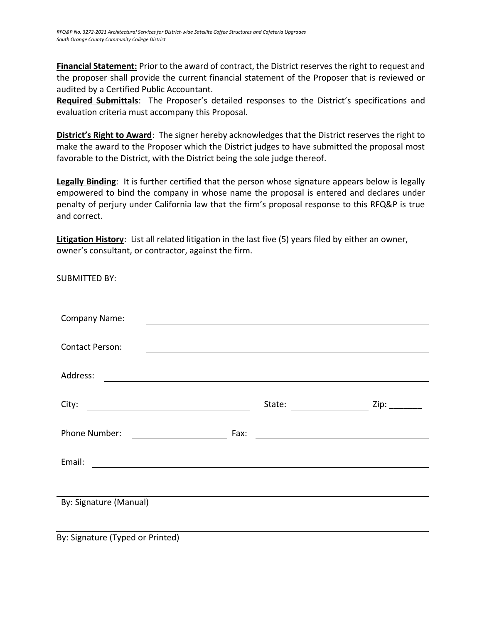**Financial Statement:** Prior to the award of contract, the District reserves the right to request and the proposer shall provide the current financial statement of the Proposer that is reviewed or audited by a Certified Public Accountant.

**Required Submittals**: The Proposer's detailed responses to the District's specifications and evaluation criteria must accompany this Proposal.

**District's Right to Award**: The signer hereby acknowledges that the District reserves the right to make the award to the Proposer which the District judges to have submitted the proposal most favorable to the District, with the District being the sole judge thereof.

**Legally Binding**: It is further certified that the person whose signature appears below is legally empowered to bind the company in whose name the proposal is entered and declares under penalty of perjury under California law that the firm's proposal response to this RFQ&P is true and correct.

**Litigation History**: List all related litigation in the last five (5) years filed by either an owner, owner's consultant, or contractor, against the firm.

| <b>SUBMITTED BY:</b>                                                                                                               |      |                                                     |               |
|------------------------------------------------------------------------------------------------------------------------------------|------|-----------------------------------------------------|---------------|
| Company Name:                                                                                                                      |      | <u> 1989 - Johann Barbara, martxa alemaniar arg</u> |               |
| <b>Contact Person:</b>                                                                                                             |      |                                                     |               |
| Address:<br><u> 1989 - Johann Stoff, deutscher Stoffen und der Stoffen und der Stoffen und der Stoffen und der Stoffen und der</u> |      |                                                     |               |
|                                                                                                                                    |      | State: _______________________                      | Zip: ________ |
| Phone Number:<br><u>and the state of the state of the state</u>                                                                    | Fax: |                                                     |               |
| Email:<br><u> 1980 - Andrea Stadt Britain, fransk politik (f. 1980)</u>                                                            |      |                                                     |               |
|                                                                                                                                    |      |                                                     |               |
| By: Signature (Manual)                                                                                                             |      |                                                     |               |
| By: Signature (Typed or Printed)                                                                                                   |      |                                                     |               |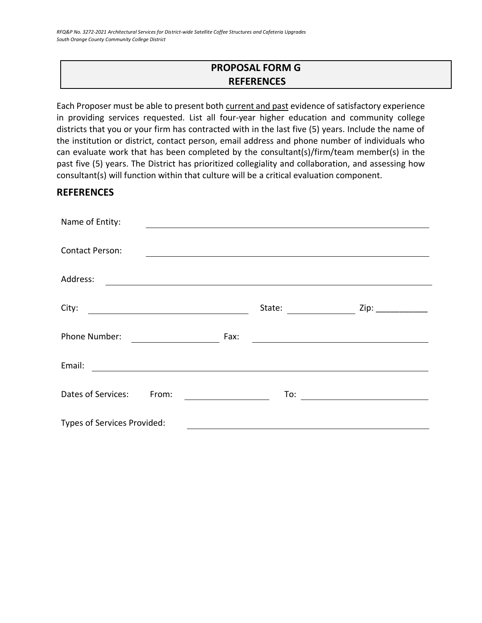# **PROPOSAL FORM G REFERENCES**

<span id="page-28-0"></span>Each Proposer must be able to present both current and past evidence of satisfactory experience in providing services requested. List all four-year higher education and community college districts that you or your firm has contracted with in the last five (5) years. Include the name of the institution or district, contact person, email address and phone number of individuals who can evaluate work that has been completed by the consultant(s)/firm/team member(s) in the past five (5) years. The District has prioritized collegiality and collaboration, and assessing how consultant(s) will function within that culture will be a critical evaluation component.

# **REFERENCES**

| Name of Entity:                                                                                                                  |        |                      |
|----------------------------------------------------------------------------------------------------------------------------------|--------|----------------------|
|                                                                                                                                  |        |                      |
| <b>Contact Person:</b>                                                                                                           |        |                      |
| Address:<br><u> 1980 - Andrea State Barbara, amerikan personal di sebagai personal di sebagai personal di sebagai personal d</u> |        |                      |
|                                                                                                                                  |        |                      |
| City:                                                                                                                            | State: | Zip: $\qquad \qquad$ |
| Phone Number:                                                                                                                    | Fax:   |                      |
| Email:                                                                                                                           |        |                      |
| Dates of Services:<br>From:                                                                                                      | To:    |                      |
| Types of Services Provided:                                                                                                      |        |                      |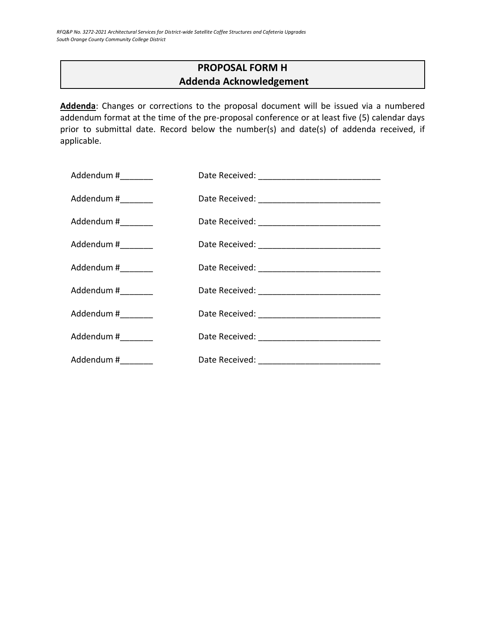# **PROPOSAL FORM H Addenda Acknowledgement**

<span id="page-29-0"></span>**Addenda**: Changes or corrections to the proposal document will be issued via a numbered addendum format at the time of the pre-proposal conference or at least five (5) calendar days prior to submittal date. Record below the number(s) and date(s) of addenda received, if applicable.

| Addendum #_________ |  |
|---------------------|--|
| Addendum #________  |  |
| Addendum #_________ |  |
| Addendum #_________ |  |
| Addendum #________  |  |
| Addendum #________  |  |
| Addendum #________  |  |
| Addendum #          |  |
| Addendum #_________ |  |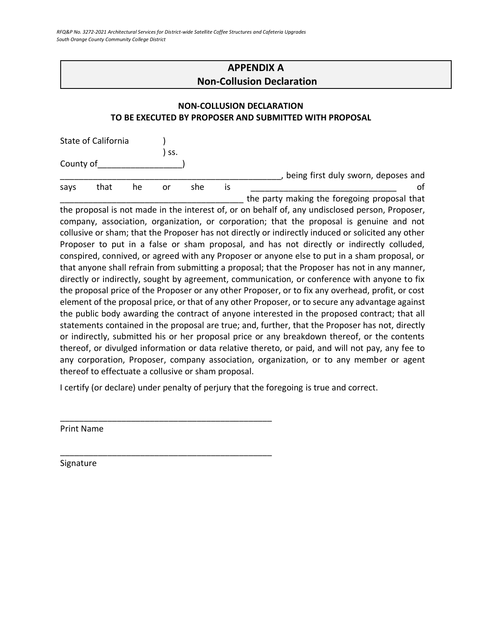# **APPENDIX A Non-Collusion Declaration**

# <span id="page-30-0"></span>**NON-COLLUSION DECLARATION TO BE EXECUTED BY PROPOSER AND SUBMITTED WITH PROPOSAL**

|           | State of California |    |     |     |    |                                              |
|-----------|---------------------|----|-----|-----|----|----------------------------------------------|
|           |                     |    | SS. |     |    |                                              |
| County of |                     |    |     |     |    |                                              |
|           |                     |    |     |     |    | being first duly sworn, deposes and          |
| savs      | that                | he | or  | she | 1S | ΩŤ                                           |
|           |                     |    |     |     |    | the party making the foregoing proposal that |

the proposal is not made in the interest of, or on behalf of, any undisclosed person, Proposer, company, association, organization, or corporation; that the proposal is genuine and not collusive or sham; that the Proposer has not directly or indirectly induced or solicited any other Proposer to put in a false or sham proposal, and has not directly or indirectly colluded, conspired, connived, or agreed with any Proposer or anyone else to put in a sham proposal, or that anyone shall refrain from submitting a proposal; that the Proposer has not in any manner, directly or indirectly, sought by agreement, communication, or conference with anyone to fix the proposal price of the Proposer or any other Proposer, or to fix any overhead, profit, or cost element of the proposal price, or that of any other Proposer, or to secure any advantage against the public body awarding the contract of anyone interested in the proposed contract; that all statements contained in the proposal are true; and, further, that the Proposer has not, directly or indirectly, submitted his or her proposal price or any breakdown thereof, or the contents thereof, or divulged information or data relative thereto, or paid, and will not pay, any fee to any corporation, Proposer, company association, organization, or to any member or agent thereof to effectuate a collusive or sham proposal.

I certify (or declare) under penalty of perjury that the foregoing is true and correct.

\_\_\_\_\_\_\_\_\_\_\_\_\_\_\_\_\_\_\_\_\_\_\_\_\_\_\_\_\_\_\_\_\_\_\_\_\_\_\_\_\_\_\_\_\_

\_\_\_\_\_\_\_\_\_\_\_\_\_\_\_\_\_\_\_\_\_\_\_\_\_\_\_\_\_\_\_\_\_\_\_\_\_\_\_\_\_\_\_\_\_

Print Name

Signature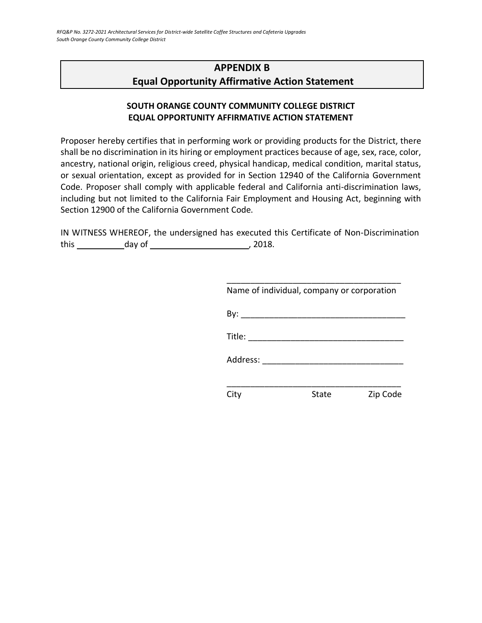# <span id="page-31-0"></span>**APPENDIX B Equal Opportunity Affirmative Action Statement**

# **SOUTH ORANGE COUNTY COMMUNITY COLLEGE DISTRICT EQUAL OPPORTUNITY AFFIRMATIVE ACTION STATEMENT**

Proposer hereby certifies that in performing work or providing products for the District, there shall be no discrimination in its hiring or employment practices because of age, sex, race, color, ancestry, national origin, religious creed, physical handicap, medical condition, marital status, or sexual orientation, except as provided for in Section 12940 of the California Government Code. Proposer shall comply with applicable federal and California anti-discrimination laws, including but not limited to the California Fair Employment and Housing Act, beginning with Section 12900 of the California Government Code.

IN WITNESS WHEREOF, the undersigned has executed this Certificate of Non-Discrimination this day of , 2018.

| Name of individual, company or corporation                                                                                                                                                                                                                                                                                                                                                                   |       |          |
|--------------------------------------------------------------------------------------------------------------------------------------------------------------------------------------------------------------------------------------------------------------------------------------------------------------------------------------------------------------------------------------------------------------|-------|----------|
|                                                                                                                                                                                                                                                                                                                                                                                                              |       |          |
| Title: $\frac{1}{\sqrt{1-\frac{1}{2}}\sqrt{1-\frac{1}{2}}\sqrt{1-\frac{1}{2}}\sqrt{1-\frac{1}{2}}\sqrt{1-\frac{1}{2}}\sqrt{1-\frac{1}{2}}\sqrt{1-\frac{1}{2}}\sqrt{1-\frac{1}{2}}\sqrt{1-\frac{1}{2}}\sqrt{1-\frac{1}{2}}\sqrt{1-\frac{1}{2}}\sqrt{1-\frac{1}{2}}\sqrt{1-\frac{1}{2}}\sqrt{1-\frac{1}{2}}\sqrt{1-\frac{1}{2}}\sqrt{1-\frac{1}{2}}\sqrt{1-\frac{1}{2}}\sqrt{1-\frac{1}{2}}\sqrt{1-\frac{1}{2$ |       |          |
| Address:                                                                                                                                                                                                                                                                                                                                                                                                     |       |          |
|                                                                                                                                                                                                                                                                                                                                                                                                              |       |          |
|                                                                                                                                                                                                                                                                                                                                                                                                              | State | Zip Code |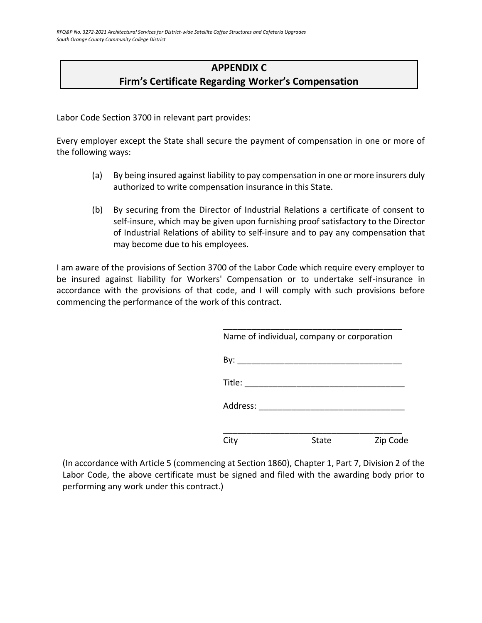# **APPENDIX C Firm's Certificate Regarding Worker's Compensation**

<span id="page-32-0"></span>Labor Code Section 3700 in relevant part provides:

Every employer except the State shall secure the payment of compensation in one or more of the following ways:

- (a) By being insured against liability to pay compensation in one or more insurers duly authorized to write compensation insurance in this State.
- (b) By securing from the Director of Industrial Relations a certificate of consent to self-insure, which may be given upon furnishing proof satisfactory to the Director of Industrial Relations of ability to self-insure and to pay any compensation that may become due to his employees.

I am aware of the provisions of Section 3700 of the Labor Code which require every employer to be insured against liability for Workers' Compensation or to undertake self-insurance in accordance with the provisions of that code, and I will comply with such provisions before commencing the performance of the work of this contract.

|                                                                                                                 | Name of individual, company or corporation |          |
|-----------------------------------------------------------------------------------------------------------------|--------------------------------------------|----------|
| By:                                                                                                             |                                            |          |
| $\text{Title:} \begin{tabular}{ c c c } \hline \quad \quad & \quad \quad & \quad \quad \\ \hline \end{tabular}$ |                                            |          |
| Address: ______                                                                                                 |                                            |          |
| City                                                                                                            | State                                      | Zip Code |

(In accordance with Article 5 (commencing at Section 1860), Chapter 1, Part 7, Division 2 of the Labor Code, the above certificate must be signed and filed with the awarding body prior to performing any work under this contract.)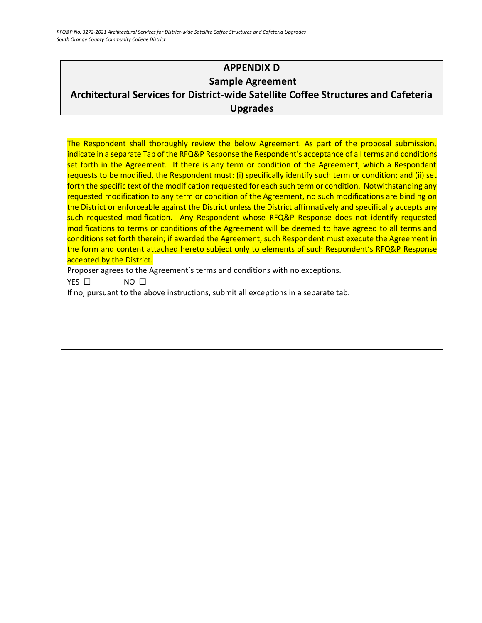*RFQ&P No. 3272-2021 Architectural Services for District-wide Satellite Coffee Structures and Cafeteria Upgrades South Orange County Community College District*

# <span id="page-33-0"></span>**APPENDIX D Sample Agreement Architectural Services for District-wide Satellite Coffee Structures and Cafeteria Upgrades**

The Respondent shall thoroughly review the below Agreement. As part of the proposal submission, indicate in a separate Tab of the RFQ&P Response the Respondent's acceptance of all terms and conditions set forth in the Agreement. If there is any term or condition of the Agreement, which a Respondent requests to be modified, the Respondent must: (i) specifically identify such term or condition; and (ii) set forth the specific text of the modification requested for each such term or condition. Notwithstanding any requested modification to any term or condition of the Agreement, no such modifications are binding on the District or enforceable against the District unless the District affirmatively and specifically accepts any such requested modification. Any Respondent whose RFQ&P Response does not identify requested modifications to terms or conditions of the Agreement will be deemed to have agreed to all terms and conditions set forth therein; if awarded the Agreement, such Respondent must execute the Agreement in the form and content attached hereto subject only to elements of such Respondent's RFQ&P Response accepted by the District.

Proposer agrees to the Agreement's terms and conditions with no exceptions.

YES □ NO □

If no, pursuant to the above instructions, submit all exceptions in a separate tab.